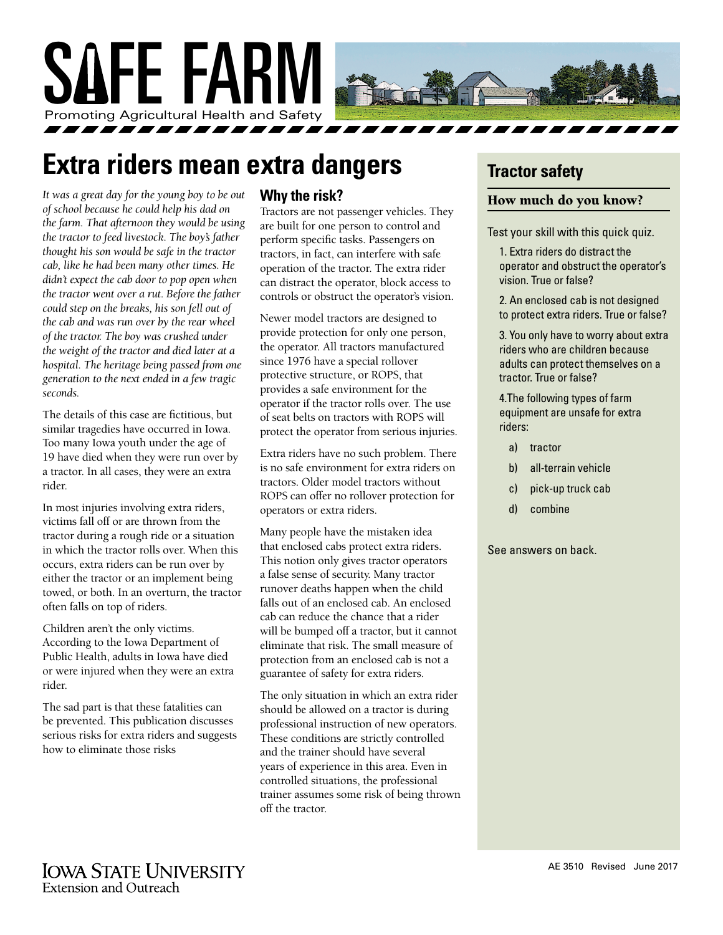

# **Extra riders mean extra dangers**

*It was a great day for the young boy to be out of school because he could help his dad on the farm. That afternoon they would be using the tractor to feed livestock. The boy's father thought his son would be safe in the tractor cab, like he had been many other times. He didn't expect the cab door to pop open when the tractor went over a rut. Before the father could step on the breaks, his son fell out of the cab and was run over by the rear wheel of the tractor. The boy was crushed under the weight of the tractor and died later at a hospital. The heritage being passed from one generation to the next ended in a few tragic seconds.*

The details of this case are fictitious, but similar tragedies have occurred in Iowa. Too many Iowa youth under the age of 19 have died when they were run over by a tractor. In all cases, they were an extra rider.

In most injuries involving extra riders, victims fall off or are thrown from the tractor during a rough ride or a situation in which the tractor rolls over. When this occurs, extra riders can be run over by either the tractor or an implement being towed, or both. In an overturn, the tractor often falls on top of riders.

Children aren't the only victims. According to the Iowa Department of Public Health, adults in Iowa have died or were injured when they were an extra rider.

The sad part is that these fatalities can be prevented. This publication discusses serious risks for extra riders and suggests how to eliminate those risks

#### **Why the risk?**

Tractors are not passenger vehicles. They are built for one person to control and perform specific tasks. Passengers on tractors, in fact, can interfere with safe operation of the tractor. The extra rider can distract the operator, block access to controls or obstruct the operator's vision.

Newer model tractors are designed to provide protection for only one person, the operator. All tractors manufactured since 1976 have a special rollover protective structure, or ROPS, that provides a safe environment for the operator if the tractor rolls over. The use of seat belts on tractors with ROPS will protect the operator from serious injuries.

Extra riders have no such problem. There is no safe environment for extra riders on tractors. Older model tractors without ROPS can offer no rollover protection for operators or extra riders.

Many people have the mistaken idea that enclosed cabs protect extra riders. This notion only gives tractor operators a false sense of security. Many tractor runover deaths happen when the child falls out of an enclosed cab. An enclosed cab can reduce the chance that a rider will be bumped off a tractor, but it cannot eliminate that risk. The small measure of protection from an enclosed cab is not a guarantee of safety for extra riders.

The only situation in which an extra rider should be allowed on a tractor is during professional instruction of new operators. These conditions are strictly controlled and the trainer should have several years of experience in this area. Even in controlled situations, the professional trainer assumes some risk of being thrown off the tractor.

# **Tractor safety**

#### How much do you know?

Test your skill with this quick quiz.

1. Extra riders do distract the operator and obstruct the operator's vision. True or false?

2. An enclosed cab is not designed to protect extra riders. True or false?

3. You only have to worry about extra riders who are children because adults can protect themselves on a tractor. True or false?

4.The following types of farm equipment are unsafe for extra riders:

- a) tractor
- b) all-terrain vehicle
- c) pick-up truck cab
- d) combine

See answers on back.